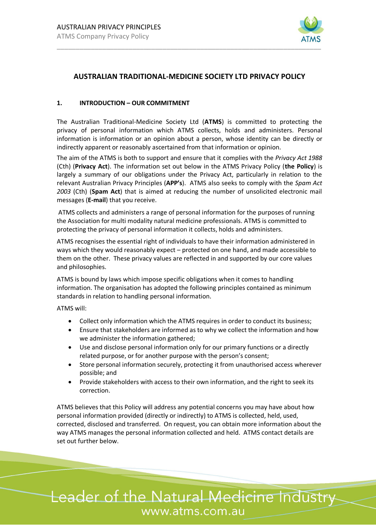

# **AUSTRALIAN TRADITIONAL-MEDICINE SOCIETY LTD PRIVACY POLICY**

#### **1. INTRODUCTION – OUR COMMITMENT**

The Australian Traditional-Medicine Society Ltd (**ATMS**) is committed to protecting the privacy of personal information which ATMS collects, holds and administers. Personal information is information or an opinion about a person, whose identity can be directly or indirectly apparent or reasonably ascertained from that information or opinion.

The aim of the ATMS is both to support and ensure that it complies with the *Privacy Act 1988*  (Cth) (**Privacy Act**). The information set out below in the ATMS Privacy Policy (**the Policy**) is largely a summary of our obligations under the Privacy Act, particularly in relation to the relevant Australian Privacy Principles (**APP's**). ATMS also seeks to comply with the *Spam Act 2003* (Cth) (**Spam Act**) that is aimed at reducing the number of unsolicited electronic mail messages (**E-mail**) that you receive.

ATMS collects and administers a range of personal information for the purposes of running the Association for multi modality natural medicine professionals. ATMS is committed to protecting the privacy of personal information it collects, holds and administers.

ATMS recognises the essential right of individuals to have their information administered in ways which they would reasonably expect – protected on one hand, and made accessible to them on the other. These privacy values are reflected in and supported by our core values and philosophies.

ATMS is bound by laws which impose specific obligations when it comes to handling information. The organisation has adopted the following principles contained as minimum standards in relation to handling personal information.

ATMS will:

- Collect only information which the ATMS requires in order to conduct its business;
- Ensure that stakeholders are informed as to why we collect the information and how we administer the information gathered;
- Use and disclose personal information only for our primary functions or a directly related purpose, or for another purpose with the person's consent;
- Store personal information securely, protecting it from unauthorised access wherever possible; and
- Provide stakeholders with access to their own information, and the right to seek its correction.

ATMS believes that this Policy will address any potential concerns you may have about how personal information provided (directly or indirectly) to ATMS is collected, held, used, corrected, disclosed and transferred. On request, you can obtain more information about the way ATMS manages the personal information collected and held. ATMS contact details are set out further below.

# Leader of the Natural Medicine Industry www.atms.com.au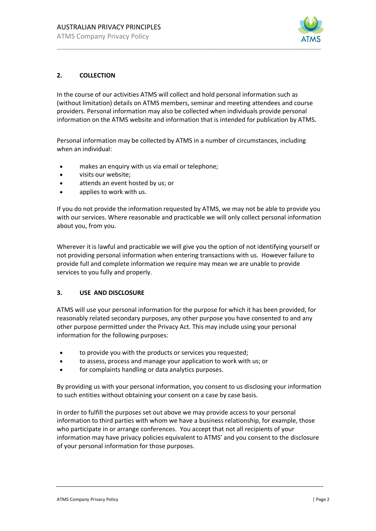

## **2. COLLECTION**

In the course of our activities ATMS will collect and hold personal information such as (without limitation) details on ATMS members, seminar and meeting attendees and course providers. Personal information may also be collected when individuals provide personal information on the ATMS website and information that is intended for publication by ATMS.

Personal information may be collected by ATMS in a number of circumstances, including when an individual:

- makes an enquiry with us via email or telephone;
- visits our website;
- attends an event hosted by us; or
- applies to work with us.

If you do not provide the information requested by ATMS, we may not be able to provide you with our services. Where reasonable and practicable we will only collect personal information about you, from you.

Wherever it is lawful and practicable we will give you the option of not identifying yourself or not providing personal information when entering transactions with us. However failure to provide full and complete information we require may mean we are unable to provide services to you fully and properly.

#### **3. USE AND DISCLOSURE**

ATMS will use your personal information for the purpose for which it has been provided, for reasonably related secondary purposes, any other purpose you have consented to and any other purpose permitted under the Privacy Act. This may include using your personal information for the following purposes:

- to provide you with the products or services you requested;
- to assess, process and manage your application to work with us; or
- for complaints handling or data analytics purposes.

By providing us with your personal information, you consent to us disclosing your information to such entities without obtaining your consent on a case by case basis.

In order to fulfill the purposes set out above we may provide access to your personal information to third parties with whom we have a business relationship, for example, those who participate in or arrange conferences. You accept that not all recipients of your information may have privacy policies equivalent to ATMS' and you consent to the disclosure of your personal information for those purposes.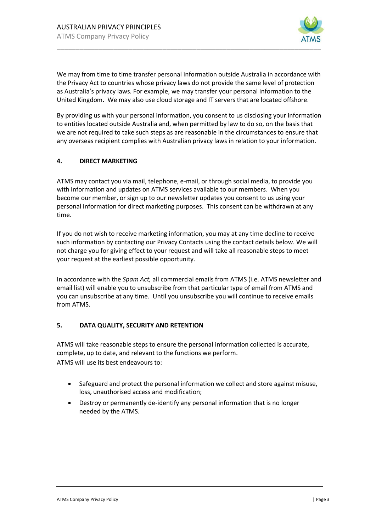

We may from time to time transfer personal information outside Australia in accordance with the Privacy Act to countries whose privacy laws do not provide the same level of protection as Australia's privacy laws. For example, we may transfer your personal information to the United Kingdom. We may also use cloud storage and IT servers that are located offshore.

By providing us with your personal information, you consent to us disclosing your information to entities located outside Australia and, when permitted by law to do so, on the basis that we are not required to take such steps as are reasonable in the circumstances to ensure that any overseas recipient complies with Australian privacy laws in relation to your information.

## **4. DIRECT MARKETING**

ATMS may contact you via mail, telephone, e-mail, or through social media, to provide you with information and updates on ATMS services available to our members. When you become our member, or sign up to our newsletter updates you consent to us using your personal information for direct marketing purposes. This consent can be withdrawn at any time.

If you do not wish to receive marketing information, you may at any time decline to receive such information by contacting our Privacy Contacts using the contact details below. We will not charge you for giving effect to your request and will take all reasonable steps to meet your request at the earliest possible opportunity.

In accordance with the *Spam Act,* all commercial emails from ATMS (i.e. ATMS newsletter and email list) will enable you to unsubscribe from that particular type of email from ATMS and you can unsubscribe at any time. Until you unsubscribe you will continue to receive emails from ATMS.

## **5. DATA QUALITY, SECURITY AND RETENTION**

ATMS will take reasonable steps to ensure the personal information collected is accurate, complete, up to date, and relevant to the functions we perform. ATMS will use its best endeavours to:

- Safeguard and protect the personal information we collect and store against misuse, loss, unauthorised access and modification;
- Destroy or permanently de-identify any personal information that is no longer needed by the ATMS.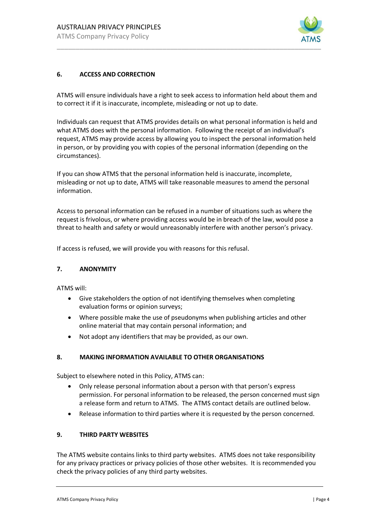

## **6. ACCESS AND CORRECTION**

ATMS will ensure individuals have a right to seek access to information held about them and to correct it if it is inaccurate, incomplete, misleading or not up to date.

Individuals can request that ATMS provides details on what personal information is held and what ATMS does with the personal information. Following the receipt of an individual's request, ATMS may provide access by allowing you to inspect the personal information held in person, or by providing you with copies of the personal information (depending on the circumstances).

If you can show ATMS that the personal information held is inaccurate, incomplete, misleading or not up to date, ATMS will take reasonable measures to amend the personal information.

Access to personal information can be refused in a number of situations such as where the request is frivolous, or where providing access would be in breach of the law, would pose a threat to health and safety or would unreasonably interfere with another person's privacy.

If access is refused, we will provide you with reasons for this refusal.

#### **7. ANONYMITY**

ATMS will:

- Give stakeholders the option of not identifying themselves when completing evaluation forms or opinion surveys;
- Where possible make the use of pseudonyms when publishing articles and other online material that may contain personal information; and
- Not adopt any identifiers that may be provided, as our own.

#### **8. MAKING INFORMATION AVAILABLE TO OTHER ORGANISATIONS**

Subject to elsewhere noted in this Policy, ATMS can:

- Only release personal information about a person with that person's express permission. For personal information to be released, the person concerned must sign a release form and return to ATMS. The ATMS contact details are outlined below.
- Release information to third parties where it is requested by the person concerned.

#### **9. THIRD PARTY WEBSITES**

The ATMS website contains links to third party websites. ATMS does not take responsibility for any privacy practices or privacy policies of those other websites. It is recommended you check the privacy policies of any third party websites.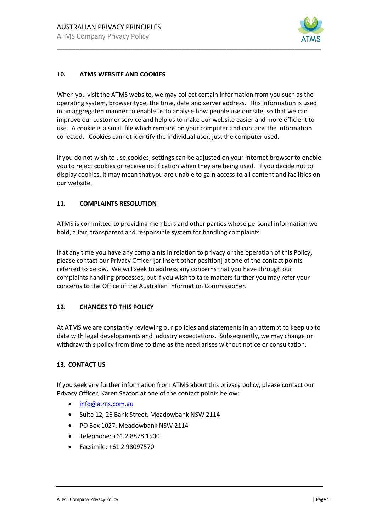

## **10. ATMS WEBSITE AND COOKIES**

When you visit the ATMS website, we may collect certain information from you such as the operating system, browser type, the time, date and server address. This information is used in an aggregated manner to enable us to analyse how people use our site, so that we can improve our customer service and help us to make our website easier and more efficient to use. A cookie is a small file which remains on your computer and contains the information collected. Cookies cannot identify the individual user, just the computer used.

If you do not wish to use cookies, settings can be adjusted on your internet browser to enable you to reject cookies or receive notification when they are being used. If you decide not to display cookies, it may mean that you are unable to gain access to all content and facilities on our website.

#### **11. COMPLAINTS RESOLUTION**

ATMS is committed to providing members and other parties whose personal information we hold, a fair, transparent and responsible system for handling complaints.

If at any time you have any complaints in relation to privacy or the operation of this Policy, please contact our Privacy Officer [or insert other position] at one of the contact points referred to below. We will seek to address any concerns that you have through our complaints handling processes, but if you wish to take matters further you may refer your concerns to the Office of the Australian Information Commissioner.

#### **12. CHANGES TO THIS POLICY**

At ATMS we are constantly reviewing our policies and statements in an attempt to keep up to date with legal developments and industry expectations. Subsequently, we may change or withdraw this policy from time to time as the need arises without notice or consultation.

#### **13. CONTACT US**

If you seek any further information from ATMS about this privacy policy, please contact our Privacy Officer, Karen Seaton at one of the contact points below:

- [info@atms.com.au](mailto:info@atms.com.au)
- Suite 12, 26 Bank Street, Meadowbank NSW 2114
- PO Box 1027, Meadowbank NSW 2114
- Telephone: +61 2 8878 1500
- Facsimile: +61 2 98097570